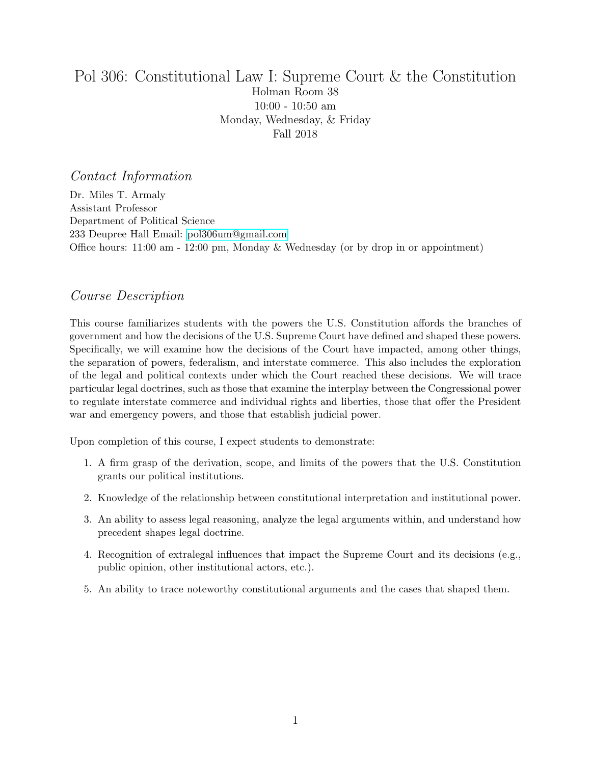# <span id="page-0-0"></span>Pol 306: Constitutional Law I: Supreme Court & the Constitution Holman Room 38 10:00 - 10:50 am Monday, Wednesday, & Friday Fall 2018

# Contact Information

Dr. Miles T. Armaly Assistant Professor Department of Political Science 233 Deupree Hall Email: [pol306um@gmail.com](mailto:pol306um@gmail.com) Office hours: 11:00 am - 12:00 pm, Monday & Wednesday (or by drop in or appointment)

# Course Description

This course familiarizes students with the powers the U.S. Constitution affords the branches of government and how the decisions of the U.S. Supreme Court have defined and shaped these powers. Specifically, we will examine how the decisions of the Court have impacted, among other things, the separation of powers, federalism, and interstate commerce. This also includes the exploration of the legal and political contexts under which the Court reached these decisions. We will trace particular legal doctrines, such as those that examine the interplay between the Congressional power to regulate interstate commerce and individual rights and liberties, those that offer the President war and emergency powers, and those that establish judicial power.

Upon completion of this course, I expect students to demonstrate:

- 1. A firm grasp of the derivation, scope, and limits of the powers that the U.S. Constitution grants our political institutions.
- 2. Knowledge of the relationship between constitutional interpretation and institutional power.
- 3. An ability to assess legal reasoning, analyze the legal arguments within, and understand how precedent shapes legal doctrine.
- 4. Recognition of extralegal influences that impact the Supreme Court and its decisions (e.g., public opinion, other institutional actors, etc.).
- 5. An ability to trace noteworthy constitutional arguments and the cases that shaped them.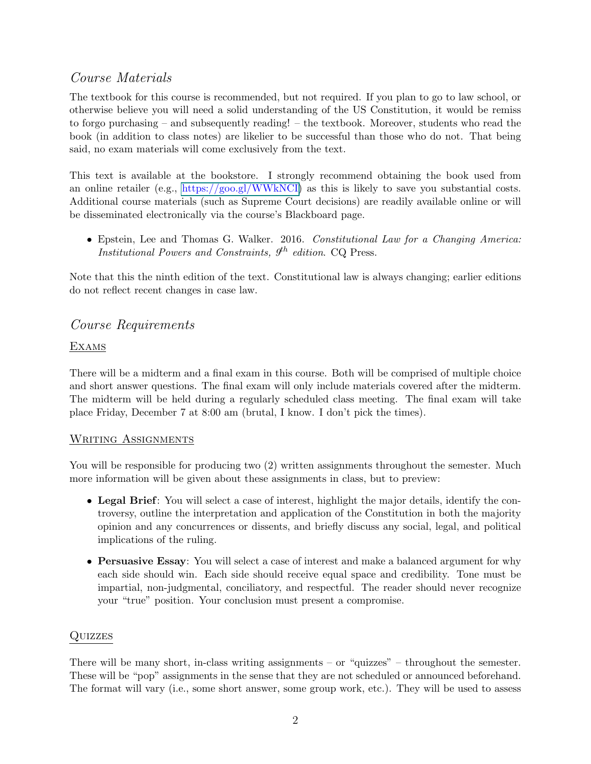# Course Materials

The textbook for this course is recommended, but not required. If you plan to go to law school, or otherwise believe you will need a solid understanding of the US Constitution, it would be remiss to forgo purchasing – and subsequently reading! – the textbook. Moreover, students who read the book (in addition to class notes) are likelier to be successful than those who do not. That being said, no exam materials will come exclusively from the text.

This text is available at the bookstore. I strongly recommend obtaining the book used from an online retailer (e.g., [https://goo.gl/WWkNCI\)](#page-0-0) as this is likely to save you substantial costs. Additional course materials (such as Supreme Court decisions) are readily available online or will be disseminated electronically via the course's Blackboard page.

• Epstein, Lee and Thomas G. Walker. 2016. Constitutional Law for a Changing America: *Institutional Powers and Constraints,*  $9<sup>th</sup>$  edition. CQ Press.

Note that this the ninth edition of the text. Constitutional law is always changing; earlier editions do not reflect recent changes in case law.

# Course Requirements

# **EXAMS**

There will be a midterm and a final exam in this course. Both will be comprised of multiple choice and short answer questions. The final exam will only include materials covered after the midterm. The midterm will be held during a regularly scheduled class meeting. The final exam will take place Friday, December 7 at 8:00 am (brutal, I know. I don't pick the times).

# WRITING ASSIGNMENTS

You will be responsible for producing two  $(2)$  written assignments throughout the semester. Much more information will be given about these assignments in class, but to preview:

- Legal Brief: You will select a case of interest, highlight the major details, identify the controversy, outline the interpretation and application of the Constitution in both the majority opinion and any concurrences or dissents, and briefly discuss any social, legal, and political implications of the ruling.
- Persuasive Essay: You will select a case of interest and make a balanced argument for why each side should win. Each side should receive equal space and credibility. Tone must be impartial, non-judgmental, conciliatory, and respectful. The reader should never recognize your "true" position. Your conclusion must present a compromise.

# **QUIZZES**

There will be many short, in-class writing assignments – or "quizzes" – throughout the semester. These will be "pop" assignments in the sense that they are not scheduled or announced beforehand. The format will vary (i.e., some short answer, some group work, etc.). They will be used to assess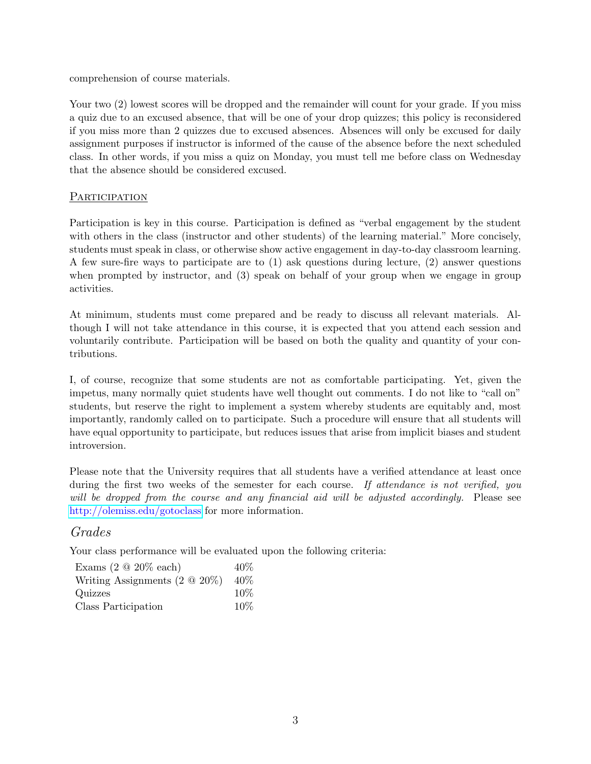comprehension of course materials.

Your two  $(2)$  lowest scores will be dropped and the remainder will count for your grade. If you miss a quiz due to an excused absence, that will be one of your drop quizzes; this policy is reconsidered if you miss more than 2 quizzes due to excused absences. Absences will only be excused for daily assignment purposes if instructor is informed of the cause of the absence before the next scheduled class. In other words, if you miss a quiz on Monday, you must tell me before class on Wednesday that the absence should be considered excused.

# **PARTICIPATION**

Participation is key in this course. Participation is defined as "verbal engagement by the student with others in the class (instructor and other students) of the learning material." More concisely, students must speak in class, or otherwise show active engagement in day-to-day classroom learning. A few sure-fire ways to participate are to (1) ask questions during lecture, (2) answer questions when prompted by instructor, and (3) speak on behalf of your group when we engage in group activities.

At minimum, students must come prepared and be ready to discuss all relevant materials. Although I will not take attendance in this course, it is expected that you attend each session and voluntarily contribute. Participation will be based on both the quality and quantity of your contributions.

I, of course, recognize that some students are not as comfortable participating. Yet, given the impetus, many normally quiet students have well thought out comments. I do not like to "call on" students, but reserve the right to implement a system whereby students are equitably and, most importantly, randomly called on to participate. Such a procedure will ensure that all students will have equal opportunity to participate, but reduces issues that arise from implicit biases and student introversion.

Please note that the University requires that all students have a verified attendance at least once during the first two weeks of the semester for each course. If attendance is not verified, you will be dropped from the course and any financial aid will be adjusted accordingly. Please see <http://olemiss.edu/gotoclass> for more information.

# Grades

Your class performance will be evaluated upon the following criteria:

| Exams $(2 \tQ 20\% \text{ each})$  | $40\%$ |
|------------------------------------|--------|
| Writing Assignments $(2 \tQ 20\%)$ | $40\%$ |
| Quizzes                            | $10\%$ |
| Class Participation                | $10\%$ |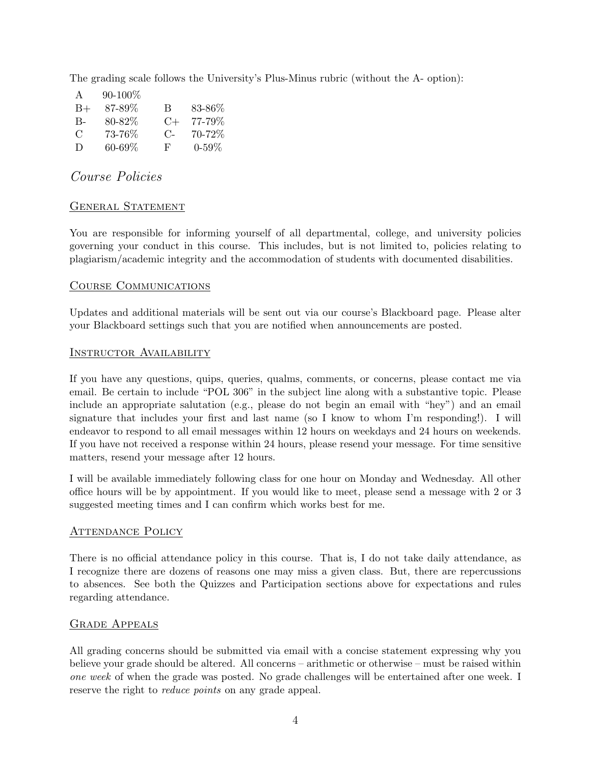The grading scale follows the University's Plus-Minus rubric (without the A- option):

| A      | $90 - 100\%$ |           |            |
|--------|--------------|-----------|------------|
| $B+$   | 87-89%       | B         | 83-86\%    |
| $B -$  | 80-82%       | $C+$      | 77-79%     |
| C      | 73-76%       | $C_{\Xi}$ | 70-72\%    |
| $\Box$ | 60-69%       | F         | $0 - 59\%$ |

# Course Policies

### GENERAL STATEMENT

You are responsible for informing yourself of all departmental, college, and university policies governing your conduct in this course. This includes, but is not limited to, policies relating to plagiarism/academic integrity and the accommodation of students with documented disabilities.

### Course Communications

Updates and additional materials will be sent out via our course's Blackboard page. Please alter your Blackboard settings such that you are notified when announcements are posted.

#### Instructor Availability

If you have any questions, quips, queries, qualms, comments, or concerns, please contact me via email. Be certain to include "POL 306" in the subject line along with a substantive topic. Please include an appropriate salutation (e.g., please do not begin an email with "hey") and an email signature that includes your first and last name (so I know to whom I'm responding!). I will endeavor to respond to all email messages within 12 hours on weekdays and 24 hours on weekends. If you have not received a response within 24 hours, please resend your message. For time sensitive matters, resend your message after 12 hours.

I will be available immediately following class for one hour on Monday and Wednesday. All other office hours will be by appointment. If you would like to meet, please send a message with 2 or 3 suggested meeting times and I can confirm which works best for me.

#### ATTENDANCE POLICY

There is no official attendance policy in this course. That is, I do not take daily attendance, as I recognize there are dozens of reasons one may miss a given class. But, there are repercussions to absences. See both the Quizzes and Participation sections above for expectations and rules regarding attendance.

# Grade Appeals

All grading concerns should be submitted via email with a concise statement expressing why you believe your grade should be altered. All concerns – arithmetic or otherwise – must be raised within one week of when the grade was posted. No grade challenges will be entertained after one week. I reserve the right to *reduce points* on any grade appeal.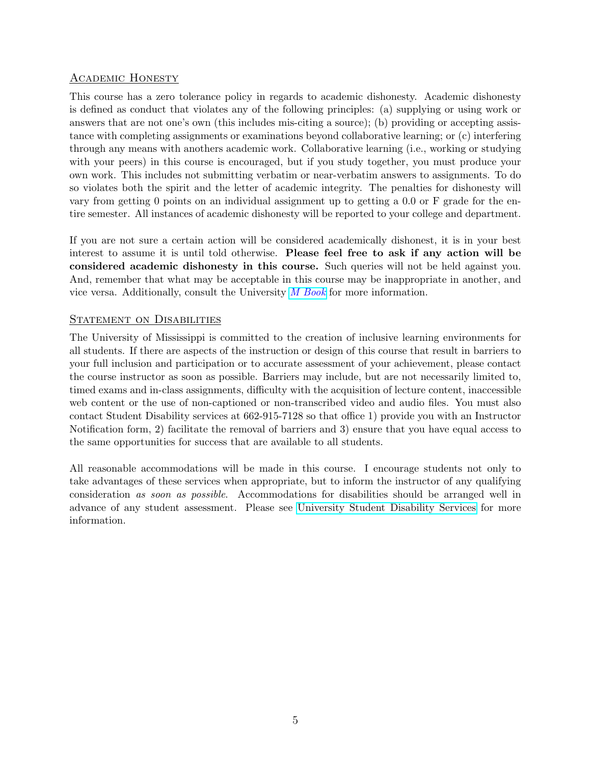# Academic Honesty

This course has a zero tolerance policy in regards to academic dishonesty. Academic dishonesty is defined as conduct that violates any of the following principles: (a) supplying or using work or answers that are not one's own (this includes mis-citing a source); (b) providing or accepting assistance with completing assignments or examinations beyond collaborative learning; or (c) interfering through any means with anothers academic work. Collaborative learning (i.e., working or studying with your peers) in this course is encouraged, but if you study together, you must produce your own work. This includes not submitting verbatim or near-verbatim answers to assignments. To do so violates both the spirit and the letter of academic integrity. The penalties for dishonesty will vary from getting 0 points on an individual assignment up to getting a 0.0 or F grade for the entire semester. All instances of academic dishonesty will be reported to your college and department.

If you are not sure a certain action will be considered academically dishonest, it is in your best interest to assume it is until told otherwise. Please feel free to ask if any action will be considered academic dishonesty in this course. Such queries will not be held against you. And, remember that what may be acceptable in this course may be inappropriate in another, and vice versa. Additionally, consult the University [M Book](http://conflictresolution.olemiss.edu/wp-content/uploads/sites/2/2014/09/MBOOK20153.pdf) for more information.

### STATEMENT ON DISABILITIES

The University of Mississippi is committed to the creation of inclusive learning environments for all students. If there are aspects of the instruction or design of this course that result in barriers to your full inclusion and participation or to accurate assessment of your achievement, please contact the course instructor as soon as possible. Barriers may include, but are not necessarily limited to, timed exams and in-class assignments, difficulty with the acquisition of lecture content, inaccessible web content or the use of non-captioned or non-transcribed video and audio files. You must also contact Student Disability services at 662-915-7128 so that office 1) provide you with an Instructor Notification form, 2) facilitate the removal of barriers and 3) ensure that you have equal access to the same opportunities for success that are available to all students.

All reasonable accommodations will be made in this course. I encourage students not only to take advantages of these services when appropriate, but to inform the instructor of any qualifying consideration as soon as possible. Accommodations for disabilities should be arranged well in advance of any student assessment. Please see [University Student Disability Services](sds.olemiss.edu) for more information.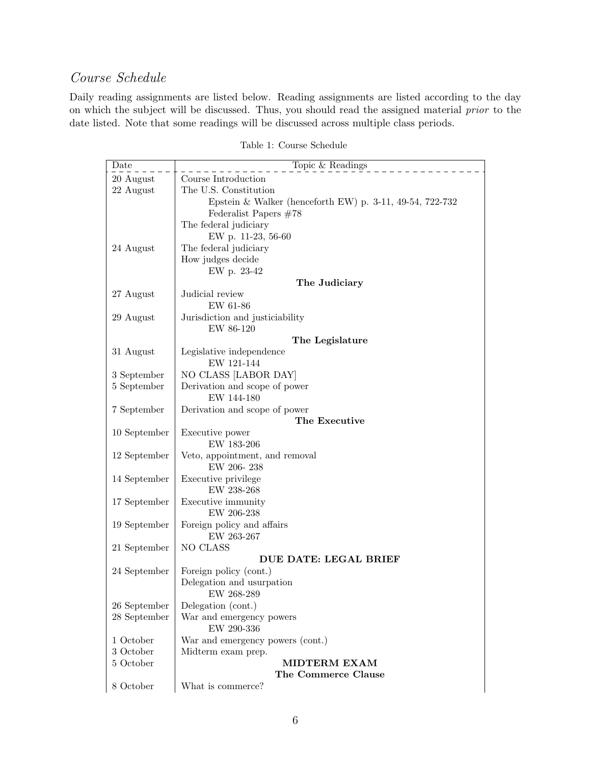# Course Schedule

Daily reading assignments are listed below. Reading assignments are listed according to the day on which the subject will be discussed. Thus, you should read the assigned material prior to the date listed. Note that some readings will be discussed across multiple class periods.

| Date           | Topic & Readings                                                 |  |  |
|----------------|------------------------------------------------------------------|--|--|
| 20 August      | Course Introduction                                              |  |  |
| 22 August      | The U.S. Constitution                                            |  |  |
|                | Epstein & Walker (henceforth EW) p. $3-11$ , $49-54$ , $722-732$ |  |  |
|                | Federalist Papers $#78$                                          |  |  |
|                | The federal judiciary                                            |  |  |
|                | EW p. 11-23, 56-60                                               |  |  |
| 24 August      | The federal judiciary                                            |  |  |
|                | How judges decide                                                |  |  |
|                | EW p. 23-42                                                      |  |  |
|                | The Judiciary                                                    |  |  |
| 27 August      | Judicial review                                                  |  |  |
|                | EW 61-86                                                         |  |  |
| 29 August      | Jurisdiction and justiciability                                  |  |  |
|                | EW 86-120                                                        |  |  |
|                | The Legislature                                                  |  |  |
| 31 August      | Legislative independence                                         |  |  |
|                | EW 121-144                                                       |  |  |
| 3 September    | NO CLASS [LABOR DAY]                                             |  |  |
| 5 September    | Derivation and scope of power                                    |  |  |
|                | EW 144-180                                                       |  |  |
| 7 September    | Derivation and scope of power                                    |  |  |
|                | The Executive                                                    |  |  |
| 10 September   | Executive power                                                  |  |  |
|                | EW 183-206                                                       |  |  |
| 12 September   | Veto, appointment, and removal                                   |  |  |
|                | EW 206-238                                                       |  |  |
| 14 September   | Executive privilege                                              |  |  |
|                | EW 238-268                                                       |  |  |
| $17$ September | Executive immunity<br>EW 206-238                                 |  |  |
| 19 September   | Foreign policy and affairs                                       |  |  |
|                | EW 263-267                                                       |  |  |
| 21 September   | NO CLASS                                                         |  |  |
|                | DUE DATE: LEGAL BRIEF                                            |  |  |
| 24 September   | Foreign policy (cont.)                                           |  |  |
|                | Delegation and usurpation                                        |  |  |
|                | EW 268-289                                                       |  |  |
| 26 September   | Delegation (cont.)                                               |  |  |
| 28 September   | War and emergency powers                                         |  |  |
|                | ${\rm EW}$ 290-336                                               |  |  |
| 1 October      | War and emergency powers (cont.)                                 |  |  |
| 3 October      | Midterm exam prep.                                               |  |  |
| 5 October      | <b>MIDTERM EXAM</b>                                              |  |  |
|                | The Commerce Clause                                              |  |  |
| 8 October      | What is commerce?                                                |  |  |

Table 1: Course Schedule